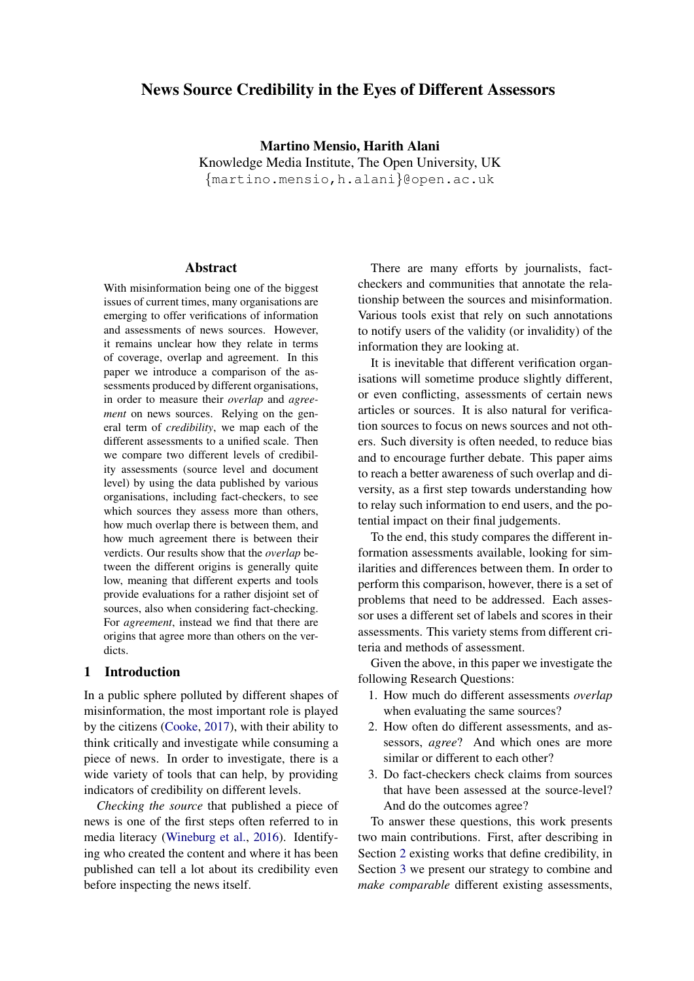# News Source Credibility in the Eyes of Different Assessors

Martino Mensio, Harith Alani Knowledge Media Institute, The Open University, UK {martino.mensio,h.alani}@open.ac.uk

## Abstract

With misinformation being one of the biggest issues of current times, many organisations are emerging to offer verifications of information and assessments of news sources. However, it remains unclear how they relate in terms of coverage, overlap and agreement. In this paper we introduce a comparison of the assessments produced by different organisations, in order to measure their *overlap* and *agreement* on news sources. Relying on the general term of *credibility*, we map each of the different assessments to a unified scale. Then we compare two different levels of credibility assessments (source level and document level) by using the data published by various organisations, including fact-checkers, to see which sources they assess more than others, how much overlap there is between them, and how much agreement there is between their verdicts. Our results show that the *overlap* between the different origins is generally quite low, meaning that different experts and tools provide evaluations for a rather disjoint set of sources, also when considering fact-checking. For *agreement*, instead we find that there are origins that agree more than others on the verdicts.

### 1 Introduction

In a public sphere polluted by different shapes of misinformation, the most important role is played by the citizens [\(Cooke,](#page-8-0) [2017\)](#page-8-0), with their ability to think critically and investigate while consuming a piece of news. In order to investigate, there is a wide variety of tools that can help, by providing indicators of credibility on different levels.

*Checking the source* that published a piece of news is one of the first steps often referred to in media literacy [\(Wineburg et al.,](#page-8-1) [2016\)](#page-8-1). Identifying who created the content and where it has been published can tell a lot about its credibility even before inspecting the news itself.

There are many efforts by journalists, factcheckers and communities that annotate the relationship between the sources and misinformation. Various tools exist that rely on such annotations to notify users of the validity (or invalidity) of the information they are looking at.

It is inevitable that different verification organisations will sometime produce slightly different, or even conflicting, assessments of certain news articles or sources. It is also natural for verification sources to focus on news sources and not others. Such diversity is often needed, to reduce bias and to encourage further debate. This paper aims to reach a better awareness of such overlap and diversity, as a first step towards understanding how to relay such information to end users, and the potential impact on their final judgements.

To the end, this study compares the different information assessments available, looking for similarities and differences between them. In order to perform this comparison, however, there is a set of problems that need to be addressed. Each assessor uses a different set of labels and scores in their assessments. This variety stems from different criteria and methods of assessment.

Given the above, in this paper we investigate the following Research Questions:

- 1. How much do different assessments *overlap* when evaluating the same sources?
- 2. How often do different assessments, and assessors, *agree*? And which ones are more similar or different to each other?
- 3. Do fact-checkers check claims from sources that have been assessed at the source-level? And do the outcomes agree?

To answer these questions, this work presents two main contributions. First, after describing in Section [2](#page-1-0) existing works that define credibility, in Section [3](#page-3-0) we present our strategy to combine and *make comparable* different existing assessments,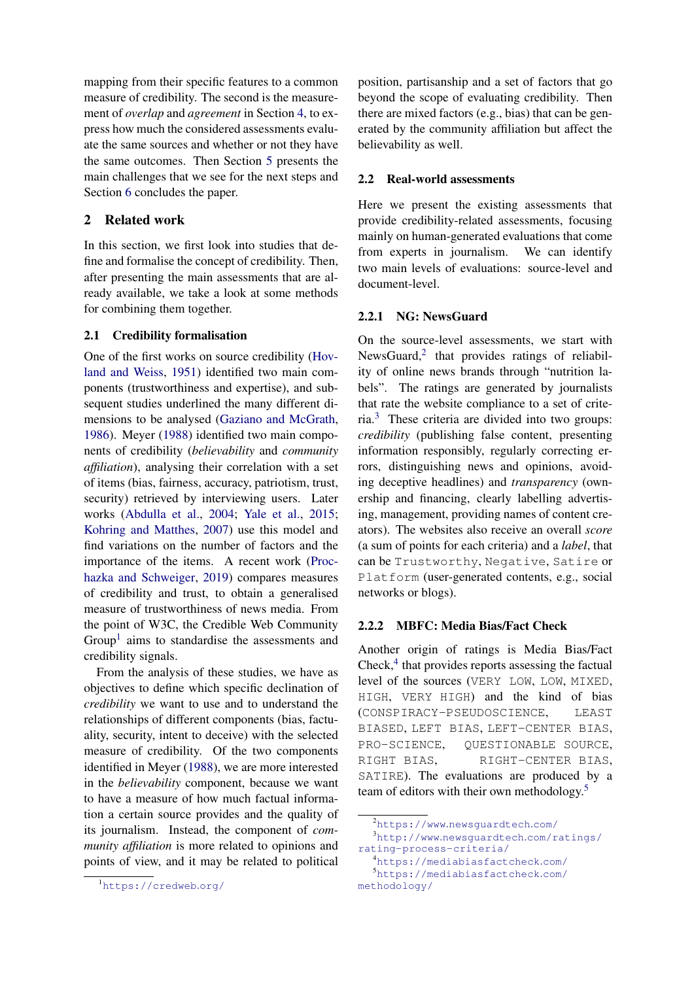mapping from their specific features to a common measure of credibility. The second is the measurement of *overlap* and *agreement* in Section [4,](#page-3-1) to express how much the considered assessments evaluate the same sources and whether or not they have the same outcomes. Then Section [5](#page-7-0) presents the main challenges that we see for the next steps and Section [6](#page-7-1) concludes the paper.

# <span id="page-1-0"></span>2 Related work

In this section, we first look into studies that define and formalise the concept of credibility. Then, after presenting the main assessments that are already available, we take a look at some methods for combining them together.

### <span id="page-1-6"></span>2.1 Credibility formalisation

One of the first works on source credibility [\(Hov](#page-8-2)[land and Weiss,](#page-8-2) [1951\)](#page-8-2) identified two main components (trustworthiness and expertise), and subsequent studies underlined the many different dimensions to be analysed [\(Gaziano and McGrath,](#page-8-3) [1986\)](#page-8-3). Meyer [\(1988\)](#page-8-4) identified two main components of credibility (*believability* and *community affiliation*), analysing their correlation with a set of items (bias, fairness, accuracy, patriotism, trust, security) retrieved by interviewing users. Later works [\(Abdulla et al.,](#page-8-5) [2004;](#page-8-5) [Yale et al.,](#page-8-6) [2015;](#page-8-6) [Kohring and Matthes,](#page-8-7) [2007\)](#page-8-7) use this model and find variations on the number of factors and the importance of the items. A recent work [\(Proc](#page-8-8)[hazka and Schweiger,](#page-8-8) [2019\)](#page-8-8) compares measures of credibility and trust, to obtain a generalised measure of trustworthiness of news media. From the point of W3C, the Credible Web Community Group<sup>[1](#page-1-1)</sup> aims to standardise the assessments and credibility signals.

From the analysis of these studies, we have as objectives to define which specific declination of *credibility* we want to use and to understand the relationships of different components (bias, factuality, security, intent to deceive) with the selected measure of credibility. Of the two components identified in Meyer [\(1988\)](#page-8-4), we are more interested in the *believability* component, because we want to have a measure of how much factual information a certain source provides and the quality of its journalism. Instead, the component of *community affiliation* is more related to opinions and points of view, and it may be related to political

position, partisanship and a set of factors that go beyond the scope of evaluating credibility. Then there are mixed factors (e.g., bias) that can be generated by the community affiliation but affect the believability as well.

#### <span id="page-1-7"></span>2.2 Real-world assessments

Here we present the existing assessments that provide credibility-related assessments, focusing mainly on human-generated evaluations that come from experts in journalism. We can identify two main levels of evaluations: source-level and document-level.

### 2.2.1 NG: NewsGuard

On the source-level assessments, we start with NewsGuard,<sup>[2](#page-1-2)</sup> that provides ratings of reliability of online news brands through "nutrition labels". The ratings are generated by journalists that rate the website compliance to a set of criteria.[3](#page-1-3) These criteria are divided into two groups: *credibility* (publishing false content, presenting information responsibly, regularly correcting errors, distinguishing news and opinions, avoiding deceptive headlines) and *transparency* (ownership and financing, clearly labelling advertising, management, providing names of content creators). The websites also receive an overall *score* (a sum of points for each criteria) and a *label*, that can be Trustworthy, Negative, Satire or Platform (user-generated contents, e.g., social networks or blogs).

#### 2.2.2 MBFC: Media Bias/Fact Check

Another origin of ratings is Media Bias/Fact Check,<sup>[4](#page-1-4)</sup> that provides reports assessing the factual level of the sources (VERY LOW, LOW, MIXED, HIGH, VERY HIGH) and the kind of bias (CONSPIRACY-PSEUDOSCIENCE, LEAST BIASED, LEFT BIAS, LEFT-CENTER BIAS, PRO-SCIENCE, QUESTIONABLE SOURCE, RIGHT BIAS, RIGHT-CENTER BIAS, SATIRE). The evaluations are produced by a team of editors with their own methodology.<sup>[5](#page-1-5)</sup>

<span id="page-1-1"></span><sup>1</sup>[https://credweb](https://credweb.org/).org/

<span id="page-1-3"></span><span id="page-1-2"></span><sup>2</sup>https://www.[newsguardtech](https://www.newsguardtech.com/).com/ <sup>3</sup>http://www.[newsguardtech](http://www.newsguardtech.com/ratings/rating-process-criteria/).com/ratings/ [rating-process-criteria/](http://www.newsguardtech.com/ratings/rating-process-criteria/)

<span id="page-1-5"></span><span id="page-1-4"></span><sup>4</sup>[https://mediabiasfactcheck](https://mediabiasfactcheck.com/).com/ <sup>5</sup>[https://mediabiasfactcheck](https://mediabiasfactcheck.com/methodology/).com/ [methodology/](https://mediabiasfactcheck.com/methodology/)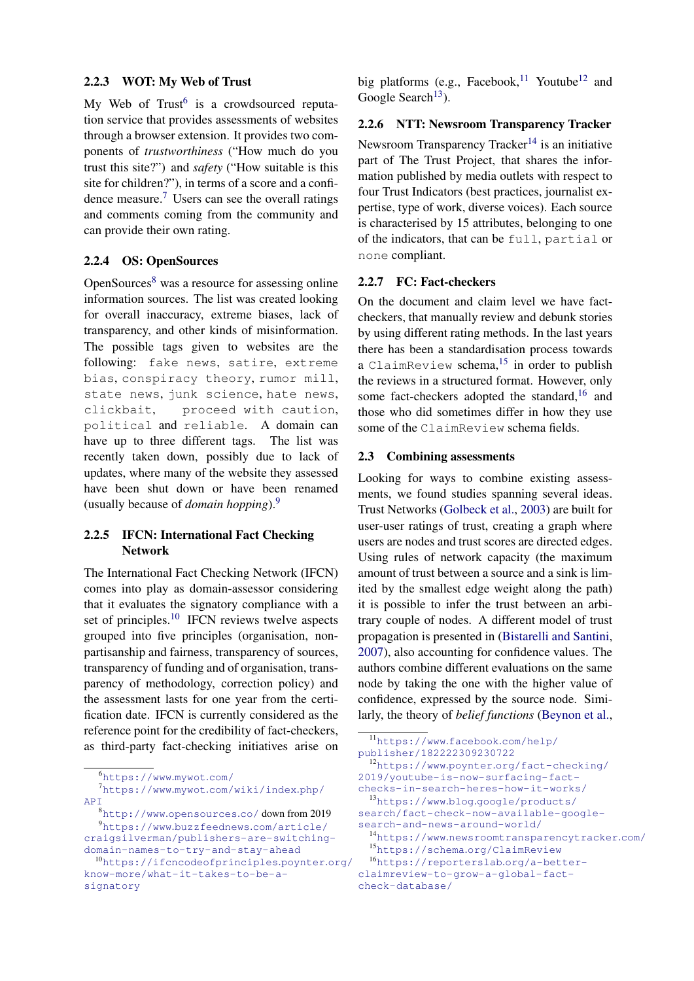### 2.2.3 WOT: My Web of Trust

My Web of  $Trust^6$  $Trust^6$  is a crowdsourced reputation service that provides assessments of websites through a browser extension. It provides two components of *trustworthiness* ("How much do you trust this site?") and *safety* ("How suitable is this site for children?"), in terms of a score and a confi-dence measure.<sup>[7](#page-2-1)</sup> Users can see the overall ratings and comments coming from the community and can provide their own rating.

# 2.2.4 OS: OpenSources

OpenSources[8](#page-2-2) was a resource for assessing online information sources. The list was created looking for overall inaccuracy, extreme biases, lack of transparency, and other kinds of misinformation. The possible tags given to websites are the following: fake news, satire, extreme bias, conspiracy theory, rumor mill, state news, junk science, hate news, clickbait, proceed with caution, political and reliable. A domain can have up to three different tags. The list was recently taken down, possibly due to lack of updates, where many of the website they assessed have been shut down or have been renamed (usually because of *domain hopping*).[9](#page-2-3)

# 2.2.5 IFCN: International Fact Checking Network

The International Fact Checking Network (IFCN) comes into play as domain-assessor considering that it evaluates the signatory compliance with a set of principles.<sup>[10](#page-2-4)</sup> IFCN reviews twelve aspects grouped into five principles (organisation, nonpartisanship and fairness, transparency of sources, transparency of funding and of organisation, transparency of methodology, correction policy) and the assessment lasts for one year from the certification date. IFCN is currently considered as the reference point for the credibility of fact-checkers, as third-party fact-checking initiatives arise on big platforms (e.g., Facebook, <sup>[11](#page-2-5)</sup> Youtube<sup>[12](#page-2-6)</sup> and Google Search<sup>[13](#page-2-7)</sup>).

# 2.2.6 NTT: Newsroom Transparency Tracker

Newsroom Transparency Tracker<sup>[14](#page-2-8)</sup> is an initiative part of The Trust Project, that shares the information published by media outlets with respect to four Trust Indicators (best practices, journalist expertise, type of work, diverse voices). Each source is characterised by 15 attributes, belonging to one of the indicators, that can be full, partial or none compliant.

### 2.2.7 FC: Fact-checkers

On the document and claim level we have factcheckers, that manually review and debunk stories by using different rating methods. In the last years there has been a standardisation process towards a ClaimReview schema,  $15$  in order to publish the reviews in a structured format. However, only some fact-checkers adopted the standard, $16$  and those who did sometimes differ in how they use some of the ClaimReview schema fields.

# 2.3 Combining assessments

Looking for ways to combine existing assessments, we found studies spanning several ideas. Trust Networks [\(Golbeck et al.,](#page-8-9) [2003\)](#page-8-9) are built for user-user ratings of trust, creating a graph where users are nodes and trust scores are directed edges. Using rules of network capacity (the maximum amount of trust between a source and a sink is limited by the smallest edge weight along the path) it is possible to infer the trust between an arbitrary couple of nodes. A different model of trust propagation is presented in [\(Bistarelli and Santini,](#page-8-10) [2007\)](#page-8-10), also accounting for confidence values. The authors combine different evaluations on the same node by taking the one with the higher value of confidence, expressed by the source node. Similarly, the theory of *belief functions* [\(Beynon et al.,](#page-8-11)

<span id="page-2-5"></span><sup>11</sup>[https://www](https://www.facebook.com/help/publisher/182222309230722).facebook.com/help/ [publisher/182222309230722](https://www.facebook.com/help/publisher/182222309230722) <sup>12</sup>https://www.poynter.[org/fact-checking/](https://www.poynter.org/fact-checking/2019/youtube-is-now-surfacing-fact-checks-in-search-heres-how-it-works/)

<span id="page-2-6"></span>[2019/youtube-is-now-surfacing-fact-](https://www.poynter.org/fact-checking/2019/youtube-is-now-surfacing-fact-checks-in-search-heres-how-it-works/)

<span id="page-2-7"></span>[checks-in-search-heres-how-it-works/](https://www.poynter.org/fact-checking/2019/youtube-is-now-surfacing-fact-checks-in-search-heres-how-it-works/) <sup>13</sup>https://www.blog.[google/products/](https://www.blog.google/products/search/fact-check-now-available-google-search-and-news-around-world/)

[search/fact-check-now-available-google](https://www.blog.google/products/search/fact-check-now-available-google-search-and-news-around-world/)[search-and-news-around-world/](https://www.blog.google/products/search/fact-check-now-available-google-search-and-news-around-world/)

<span id="page-2-1"></span><span id="page-2-0"></span><sup>6</sup>[https://www](https://www.mywot.com/).mywot.com/

<sup>7</sup>https://www.mywot.[com/wiki/index](https://www.mywot.com/wiki/index.php/API).php/ **APT** 

<span id="page-2-3"></span><span id="page-2-2"></span><sup>8</sup>http://www.[opensources](http://www.opensources.co/).co/ down from 2019 <sup>9</sup>https://www.buzzfeednews.[com/article/](https://www.buzzfeednews.com/article/craigsilverman/publishers-are-switching-domain-names-to-try-and-stay-ahead) [craigsilverman/publishers-are-switching](https://www.buzzfeednews.com/article/craigsilverman/publishers-are-switching-domain-names-to-try-and-stay-ahead)[domain-names-to-try-and-stay-ahead](https://www.buzzfeednews.com/article/craigsilverman/publishers-are-switching-domain-names-to-try-and-stay-ahead)

<span id="page-2-4"></span><sup>10</sup>[https://ifcncodeofprinciples](https://ifcncodeofprinciples.poynter.org/know-more/what-it-takes-to-be-a-signatory).poynter.org/ [know-more/what-it-takes-to-be-a](https://ifcncodeofprinciples.poynter.org/know-more/what-it-takes-to-be-a-signatory)[signatory](https://ifcncodeofprinciples.poynter.org/know-more/what-it-takes-to-be-a-signatory)

<span id="page-2-8"></span><sup>14</sup>https://www.[newsroomtransparencytracker](https://www.newsroomtransparencytracker.com/).com/

<span id="page-2-10"></span><span id="page-2-9"></span><sup>15</sup>https://schema.[org/ClaimReview](https://schema.org/ClaimReview)

<sup>16</sup>[https://reporterslab](https://reporterslab.org/a-better-claimreview-to-grow-a-global-fact-check-database/).org/a-better[claimreview-to-grow-a-global-fact](https://reporterslab.org/a-better-claimreview-to-grow-a-global-fact-check-database/)[check-database/](https://reporterslab.org/a-better-claimreview-to-grow-a-global-fact-check-database/)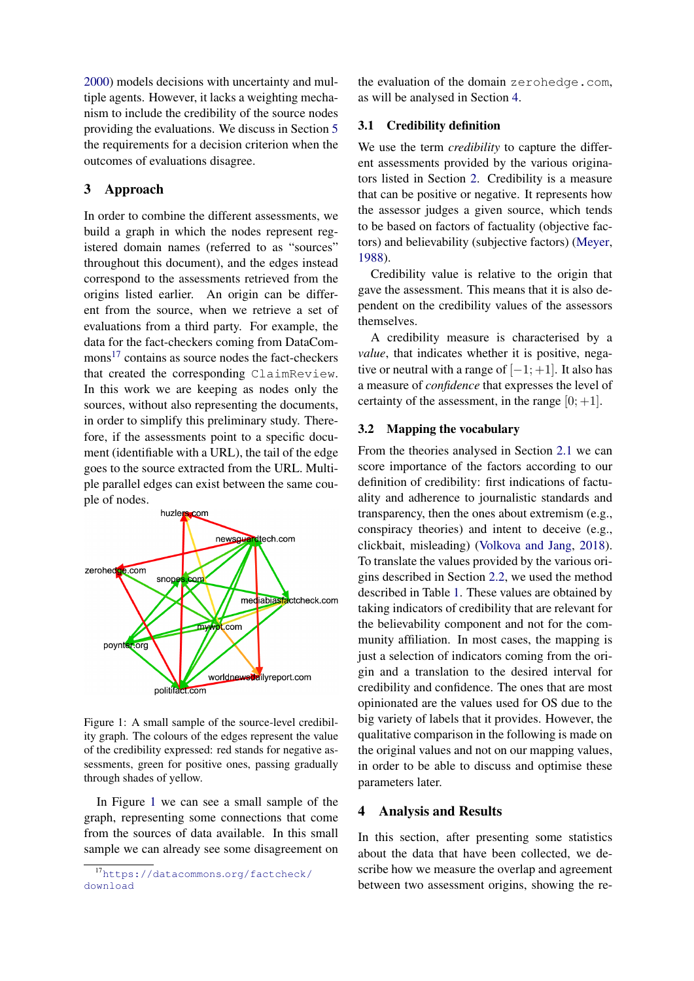[2000\)](#page-8-11) models decisions with uncertainty and multiple agents. However, it lacks a weighting mechanism to include the credibility of the source nodes providing the evaluations. We discuss in Section [5](#page-7-0) the requirements for a decision criterion when the outcomes of evaluations disagree.

# <span id="page-3-0"></span>3 Approach

In order to combine the different assessments, we build a graph in which the nodes represent registered domain names (referred to as "sources" throughout this document), and the edges instead correspond to the assessments retrieved from the origins listed earlier. An origin can be different from the source, when we retrieve a set of evaluations from a third party. For example, the data for the fact-checkers coming from DataCom-mons<sup>[17](#page-3-2)</sup> contains as source nodes the fact-checkers that created the corresponding ClaimReview. In this work we are keeping as nodes only the sources, without also representing the documents, in order to simplify this preliminary study. Therefore, if the assessments point to a specific document (identifiable with a URL), the tail of the edge goes to the source extracted from the URL. Multiple parallel edges can exist between the same couple of nodes.

<span id="page-3-3"></span>

Figure 1: A small sample of the source-level credibility graph. The colours of the edges represent the value of the credibility expressed: red stands for negative assessments, green for positive ones, passing gradually through shades of yellow.

In Figure [1](#page-3-3) we can see a small sample of the graph, representing some connections that come from the sources of data available. In this small sample we can already see some disagreement on the evaluation of the domain zerohedge.com, as will be analysed in Section [4.](#page-3-1)

# 3.1 Credibility definition

We use the term *credibility* to capture the different assessments provided by the various originators listed in Section [2.](#page-1-0) Credibility is a measure that can be positive or negative. It represents how the assessor judges a given source, which tends to be based on factors of factuality (objective factors) and believability (subjective factors) [\(Meyer,](#page-8-4) [1988\)](#page-8-4).

Credibility value is relative to the origin that gave the assessment. This means that it is also dependent on the credibility values of the assessors themselves.

A credibility measure is characterised by a *value*, that indicates whether it is positive, negative or neutral with a range of  $[-1; +1]$ . It also has a measure of *confidence* that expresses the level of certainty of the assessment, in the range  $[0; +1]$ .

# <span id="page-3-4"></span>3.2 Mapping the vocabulary

From the theories analysed in Section [2.1](#page-1-6) we can score importance of the factors according to our definition of credibility: first indications of factuality and adherence to journalistic standards and transparency, then the ones about extremism (e.g., conspiracy theories) and intent to deceive (e.g., clickbait, misleading) [\(Volkova and Jang,](#page-8-12) [2018\)](#page-8-12). To translate the values provided by the various origins described in Section [2.2,](#page-1-7) we used the method described in Table [1.](#page-4-0) These values are obtained by taking indicators of credibility that are relevant for the believability component and not for the community affiliation. In most cases, the mapping is just a selection of indicators coming from the origin and a translation to the desired interval for credibility and confidence. The ones that are most opinionated are the values used for OS due to the big variety of labels that it provides. However, the qualitative comparison in the following is made on the original values and not on our mapping values, in order to be able to discuss and optimise these parameters later.

### <span id="page-3-1"></span>4 Analysis and Results

In this section, after presenting some statistics about the data that have been collected, we describe how we measure the overlap and agreement between two assessment origins, showing the re-

<span id="page-3-2"></span><sup>17</sup>[https://datacommons](https://datacommons.org/factcheck/download).org/factcheck/ [download](https://datacommons.org/factcheck/download)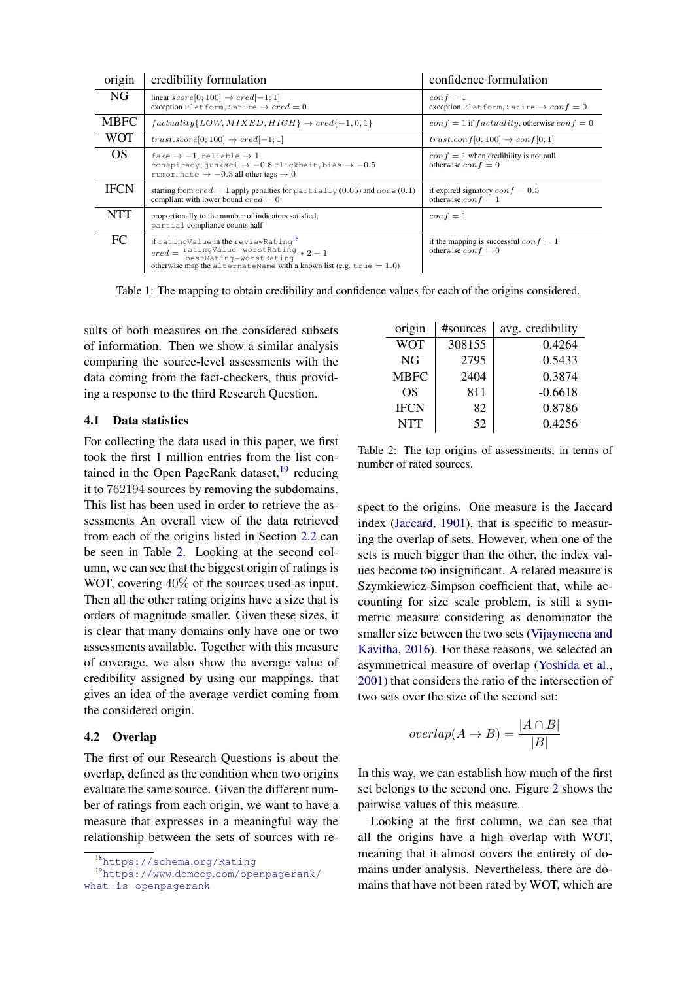<span id="page-4-0"></span>

| origin      | credibility formulation                                                                                                                                                                                                                  | confidence formulation                                                                 |
|-------------|------------------------------------------------------------------------------------------------------------------------------------------------------------------------------------------------------------------------------------------|----------------------------------------------------------------------------------------|
| NG.         | linear $score[0; 100] \rightarrow cred[-1; 1]$<br>exception Platform, Satire $\rightarrow cred = 0$                                                                                                                                      | $\operatorname{conf}=1$<br>exception Platform, Satire $\rightarrow$ con $f = 0$        |
| <b>MBFC</b> | $factuality\{LOW, MIXED, HIGH\} \rightarrow cred\{-1, 0, 1\}$                                                                                                                                                                            | $conf = 1$ if $factuality$ , otherwise $conf = 0$                                      |
| <b>WOT</b>  | trust.score[0; 100] $\rightarrow cred[-1;1]$                                                                                                                                                                                             | trust.conf $[0; 100] \rightarrow conf[0; 1]$                                           |
| OS.         | fake $\rightarrow -1$ , reliable $\rightarrow 1$<br>conspiracy, junksci $\rightarrow -0.8$ clickbait, bias $\rightarrow -0.5$<br>rumor, hate $\rightarrow -0.3$ all other tags $\rightarrow 0$                                           | $\cos f = 1$ when credibility is not null<br>otherwise $\operatorname{con} f = 0$      |
| <b>IFCN</b> | starting from $cred = 1$ apply penalties for partially (0.05) and none (0.1)<br>compliant with lower bound $cred = 0$                                                                                                                    | if expired signatory $\epsilon on f = 0.5$<br>otherwise $\operatorname{conf} = 1$      |
| NTT         | proportionally to the number of indicators satisfied,<br>partial compliance counts half                                                                                                                                                  | $\operatorname{conf}=1$                                                                |
| FC.         | if ratingValue in the reviewRating <sup>18</sup><br>$\text{cred} = \frac{\text{ratingValue}-\text{worstRating}}{\text{bestRating}-\text{worstRating}} * 2 - 1$<br>otherwise map the alternateName with a known list (e.g. true $= 1.0$ ) | if the mapping is successful $\text{conf} = 1$<br>otherwise $\operatorname{con} f = 0$ |

Table 1: The mapping to obtain credibility and confidence values for each of the origins considered.

sults of both measures on the considered subsets of information. Then we show a similar analysis comparing the source-level assessments with the data coming from the fact-checkers, thus providing a response to the third Research Question.

### 4.1 Data statistics

For collecting the data used in this paper, we first took the first 1 million entries from the list contained in the Open PageRank dataset, $19$  reducing it to 762194 sources by removing the subdomains. This list has been used in order to retrieve the assessments An overall view of the data retrieved from each of the origins listed in Section [2.2](#page-1-7) can be seen in Table [2.](#page-4-3) Looking at the second column, we can see that the biggest origin of ratings is WOT, covering 40% of the sources used as input. Then all the other rating origins have a size that is orders of magnitude smaller. Given these sizes, it is clear that many domains only have one or two assessments available. Together with this measure of coverage, we also show the average value of credibility assigned by using our mappings, that gives an idea of the average verdict coming from the considered origin.

### 4.2 Overlap

The first of our Research Questions is about the overlap, defined as the condition when two origins evaluate the same source. Given the different number of ratings from each origin, we want to have a measure that expresses in a meaningful way the relationship between the sets of sources with re-

<span id="page-4-3"></span>

| origin      | #sources | avg. credibility |
|-------------|----------|------------------|
| <b>WOT</b>  | 308155   | 0.4264           |
| NG          | 2795     | 0.5433           |
| <b>MBFC</b> | 2404     | 0.3874           |
| OS          | 811      | $-0.6618$        |
| <b>IFCN</b> | 82       | 0.8786           |
| <b>NTT</b>  | 52       | 0.4256           |

Table 2: The top origins of assessments, in terms of number of rated sources.

spect to the origins. One measure is the Jaccard index [\(Jaccard,](#page-8-13) [1901\)](#page-8-13), that is specific to measuring the overlap of sets. However, when one of the sets is much bigger than the other, the index values become too insignificant. A related measure is Szymkiewicz-Simpson coefficient that, while accounting for size scale problem, is still a symmetric measure considering as denominator the smaller size between the two sets [\(Vijaymeena and](#page-8-14) [Kavitha,](#page-8-14) [2016\)](#page-8-14). For these reasons, we selected an asymmetrical measure of overlap [\(Yoshida et al.,](#page-8-15) [2001\)](#page-8-15) that considers the ratio of the intersection of two sets over the size of the second set:

$$
overlap(A \to B) = \frac{|A \cap B|}{|B|}
$$

In this way, we can establish how much of the first set belongs to the second one. Figure [2](#page-5-0) shows the pairwise values of this measure.

Looking at the first column, we can see that all the origins have a high overlap with WOT, meaning that it almost covers the entirety of domains under analysis. Nevertheless, there are domains that have not been rated by WOT, which are

<span id="page-4-2"></span><span id="page-4-1"></span><sup>18</sup>[https://schema](https://schema.org/Rating).org/Rating

<sup>19</sup>https://www.domcop.[com/openpagerank/](https://www.domcop.com/openpagerank/what-is-openpagerank) [what-is-openpagerank](https://www.domcop.com/openpagerank/what-is-openpagerank)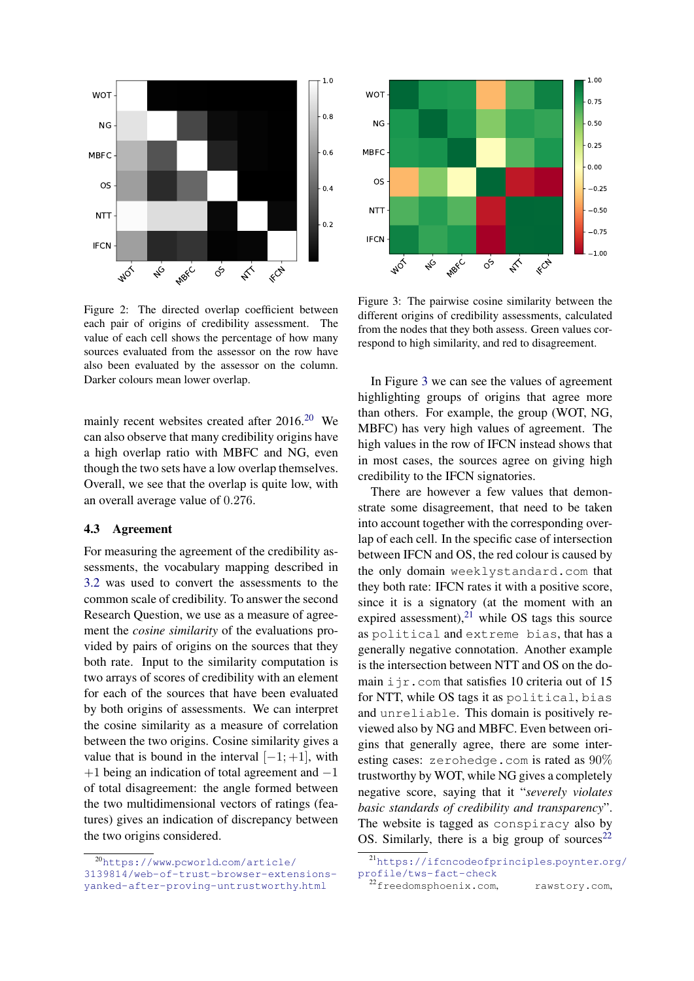<span id="page-5-0"></span>

Figure 2: The directed overlap coefficient between each pair of origins of credibility assessment. The value of each cell shows the percentage of how many sources evaluated from the assessor on the row have also been evaluated by the assessor on the column. Darker colours mean lower overlap.

mainly recent websites created after  $2016$  $2016$ .<sup>20</sup> We can also observe that many credibility origins have a high overlap ratio with MBFC and NG, even though the two sets have a low overlap themselves. Overall, we see that the overlap is quite low, with an overall average value of 0.276.

### 4.3 Agreement

For measuring the agreement of the credibility assessments, the vocabulary mapping described in [3.2](#page-3-4) was used to convert the assessments to the common scale of credibility. To answer the second Research Question, we use as a measure of agreement the *cosine similarity* of the evaluations provided by pairs of origins on the sources that they both rate. Input to the similarity computation is two arrays of scores of credibility with an element for each of the sources that have been evaluated by both origins of assessments. We can interpret the cosine similarity as a measure of correlation between the two origins. Cosine similarity gives a value that is bound in the interval  $[-1; +1]$ , with  $+1$  being an indication of total agreement and  $-1$ of total disagreement: the angle formed between the two multidimensional vectors of ratings (features) gives an indication of discrepancy between the two origins considered.

<span id="page-5-1"></span>

<span id="page-5-2"></span>

Figure 3: The pairwise cosine similarity between the different origins of credibility assessments, calculated from the nodes that they both assess. Green values correspond to high similarity, and red to disagreement.

In Figure [3](#page-5-2) we can see the values of agreement highlighting groups of origins that agree more than others. For example, the group (WOT, NG, MBFC) has very high values of agreement. The high values in the row of IFCN instead shows that in most cases, the sources agree on giving high credibility to the IFCN signatories.

There are however a few values that demonstrate some disagreement, that need to be taken into account together with the corresponding overlap of each cell. In the specific case of intersection between IFCN and OS, the red colour is caused by the only domain weeklystandard.com that they both rate: IFCN rates it with a positive score, since it is a signatory (at the moment with an expired assessment), $^{21}$  $^{21}$  $^{21}$  while OS tags this source as political and extreme bias, that has a generally negative connotation. Another example is the intersection between NTT and OS on the domain  $i$  jr.com that satisfies 10 criteria out of 15 for NTT, while OS tags it as political, bias and unreliable. This domain is positively reviewed also by NG and MBFC. Even between origins that generally agree, there are some interesting cases: zerohedge.com is rated as 90% trustworthy by WOT, while NG gives a completely negative score, saying that it "*severely violates basic standards of credibility and transparency*". The website is tagged as conspiracy also by OS. Similarly, there is a big group of sources<sup>[22](#page-5-4)</sup>

<span id="page-5-3"></span><sup>21</sup>[https://ifcncodeofprinciples](https://ifcncodeofprinciples.poynter.org/profile/tws-fact-check).poynter.org/ [profile/tws-fact-check](https://ifcncodeofprinciples.poynter.org/profile/tws-fact-check)

<span id="page-5-4"></span><sup>22</sup>freedomsphoenix.com, rawstory.com,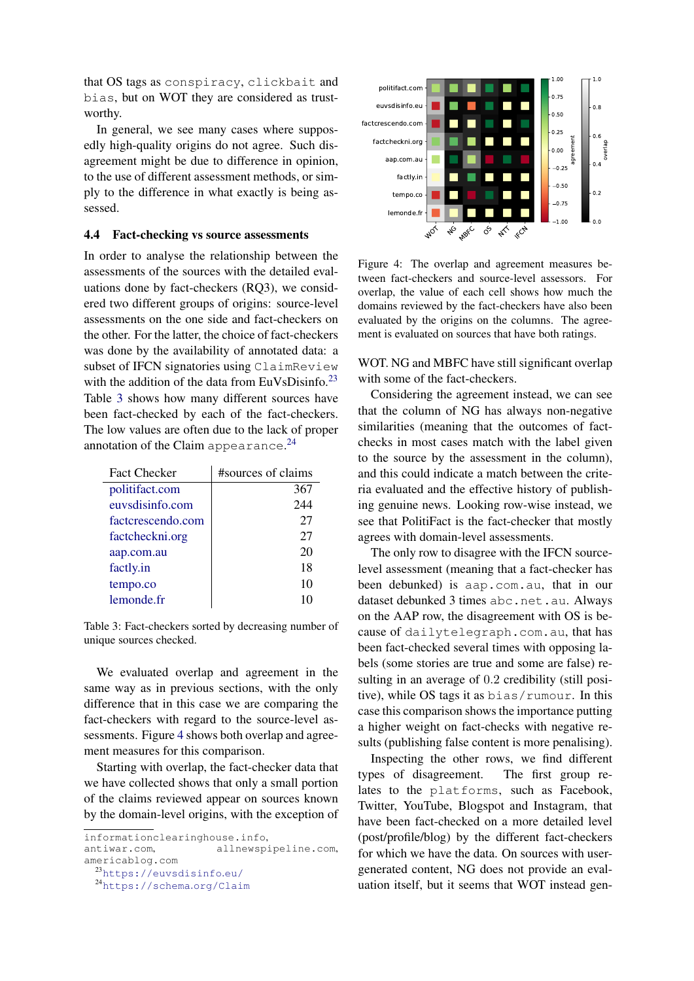that OS tags as conspiracy, clickbait and bias, but on WOT they are considered as trustworthy.

In general, we see many cases where supposedly high-quality origins do not agree. Such disagreement might be due to difference in opinion, to the use of different assessment methods, or simply to the difference in what exactly is being assessed.

### 4.4 Fact-checking vs source assessments

In order to analyse the relationship between the assessments of the sources with the detailed evaluations done by fact-checkers (RQ3), we considered two different groups of origins: source-level assessments on the one side and fact-checkers on the other. For the latter, the choice of fact-checkers was done by the availability of annotated data: a subset of IFCN signatories using ClaimReview with the addition of the data from EuVsDisinfo. $23$ Table [3](#page-6-1) shows how many different sources have been fact-checked by each of the fact-checkers. The low values are often due to the lack of proper annotation of the Claim appearance.<sup>[24](#page-6-2)</sup>

<span id="page-6-1"></span>

| <b>Fact Checker</b> | #sources of claims |
|---------------------|--------------------|
| politifact.com      | 367                |
| euvsdisinfo.com     | 244                |
| factcrescendo.com   | 27                 |
| factcheckni.org     | 27                 |
| aap.com.au          | 20                 |
| factly.in           | 18                 |
| tempo.co            | 10                 |
| lemonde fr          | 10                 |

Table 3: Fact-checkers sorted by decreasing number of unique sources checked.

We evaluated overlap and agreement in the same way as in previous sections, with the only difference that in this case we are comparing the fact-checkers with regard to the source-level assessments. Figure [4](#page-6-3) shows both overlap and agreement measures for this comparison.

Starting with overlap, the fact-checker data that we have collected shows that only a small portion of the claims reviewed appear on sources known by the domain-level origins, with the exception of

<span id="page-6-3"></span>

Figure 4: The overlap and agreement measures between fact-checkers and source-level assessors. For overlap, the value of each cell shows how much the domains reviewed by the fact-checkers have also been evaluated by the origins on the columns. The agreement is evaluated on sources that have both ratings.

WOT. NG and MBFC have still significant overlap with some of the fact-checkers.

Considering the agreement instead, we can see that the column of NG has always non-negative similarities (meaning that the outcomes of factchecks in most cases match with the label given to the source by the assessment in the column), and this could indicate a match between the criteria evaluated and the effective history of publishing genuine news. Looking row-wise instead, we see that PolitiFact is the fact-checker that mostly agrees with domain-level assessments.

The only row to disagree with the IFCN sourcelevel assessment (meaning that a fact-checker has been debunked) is aap.com.au, that in our dataset debunked 3 times abc.net.au. Always on the AAP row, the disagreement with OS is because of dailytelegraph.com.au, that has been fact-checked several times with opposing labels (some stories are true and some are false) resulting in an average of 0.2 credibility (still positive), while OS tags it as bias/rumour. In this case this comparison shows the importance putting a higher weight on fact-checks with negative results (publishing false content is more penalising).

Inspecting the other rows, we find different types of disagreement. The first group relates to the platforms, such as Facebook, Twitter, YouTube, Blogspot and Instagram, that have been fact-checked on a more detailed level (post/profile/blog) by the different fact-checkers for which we have the data. On sources with usergenerated content, NG does not provide an evaluation itself, but it seems that WOT instead gen-

informationclearinghouse.info,

antiwar.com, allnewspipeline.com, americablog.com

<span id="page-6-0"></span><sup>23</sup>[https://euvsdisinfo](https://euvsdisinfo.eu/).eu/

<span id="page-6-2"></span><sup>24</sup>[https://schema](https://schema.org/Claim).org/Claim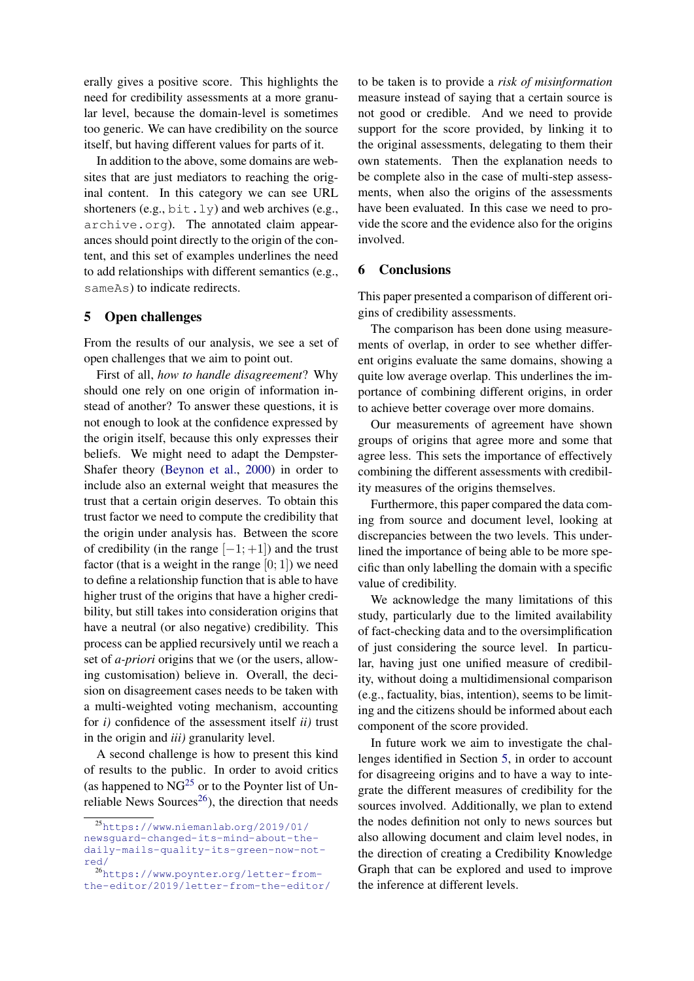erally gives a positive score. This highlights the need for credibility assessments at a more granular level, because the domain-level is sometimes too generic. We can have credibility on the source itself, but having different values for parts of it.

In addition to the above, some domains are websites that are just mediators to reaching the original content. In this category we can see URL shorteners (e.g.,  $bit.1y$ ) and web archives (e.g., archive.org). The annotated claim appearances should point directly to the origin of the content, and this set of examples underlines the need to add relationships with different semantics (e.g., sameAs) to indicate redirects.

# <span id="page-7-0"></span>5 Open challenges

From the results of our analysis, we see a set of open challenges that we aim to point out.

First of all, *how to handle disagreement*? Why should one rely on one origin of information instead of another? To answer these questions, it is not enough to look at the confidence expressed by the origin itself, because this only expresses their beliefs. We might need to adapt the Dempster-Shafer theory [\(Beynon et al.,](#page-8-11) [2000\)](#page-8-11) in order to include also an external weight that measures the trust that a certain origin deserves. To obtain this trust factor we need to compute the credibility that the origin under analysis has. Between the score of credibility (in the range  $[-1; +1]$ ) and the trust factor (that is a weight in the range  $[0; 1]$ ) we need to define a relationship function that is able to have higher trust of the origins that have a higher credibility, but still takes into consideration origins that have a neutral (or also negative) credibility. This process can be applied recursively until we reach a set of *a-priori* origins that we (or the users, allowing customisation) believe in. Overall, the decision on disagreement cases needs to be taken with a multi-weighted voting mechanism, accounting for *i)* confidence of the assessment itself *ii)* trust in the origin and *iii)* granularity level.

A second challenge is how to present this kind of results to the public. In order to avoid critics (as happened to  $\overline{NG}^{25}$  $\overline{NG}^{25}$  $\overline{NG}^{25}$  or to the Poynter list of Un-reliable News Sources<sup>[26](#page-7-3)</sup>), the direction that needs to be taken is to provide a *risk of misinformation* measure instead of saying that a certain source is not good or credible. And we need to provide support for the score provided, by linking it to the original assessments, delegating to them their own statements. Then the explanation needs to be complete also in the case of multi-step assessments, when also the origins of the assessments have been evaluated. In this case we need to provide the score and the evidence also for the origins involved.

### <span id="page-7-1"></span>6 Conclusions

This paper presented a comparison of different origins of credibility assessments.

The comparison has been done using measurements of overlap, in order to see whether different origins evaluate the same domains, showing a quite low average overlap. This underlines the importance of combining different origins, in order to achieve better coverage over more domains.

Our measurements of agreement have shown groups of origins that agree more and some that agree less. This sets the importance of effectively combining the different assessments with credibility measures of the origins themselves.

Furthermore, this paper compared the data coming from source and document level, looking at discrepancies between the two levels. This underlined the importance of being able to be more specific than only labelling the domain with a specific value of credibility.

We acknowledge the many limitations of this study, particularly due to the limited availability of fact-checking data and to the oversimplification of just considering the source level. In particular, having just one unified measure of credibility, without doing a multidimensional comparison (e.g., factuality, bias, intention), seems to be limiting and the citizens should be informed about each component of the score provided.

In future work we aim to investigate the challenges identified in Section [5,](#page-7-0) in order to account for disagreeing origins and to have a way to integrate the different measures of credibility for the sources involved. Additionally, we plan to extend the nodes definition not only to news sources but also allowing document and claim level nodes, in the direction of creating a Credibility Knowledge Graph that can be explored and used to improve the inference at different levels.

<span id="page-7-2"></span><sup>25</sup>https://www.niemanlab.[org/2019/01/](https://www.niemanlab.org/2019/01/newsguard-changed-its-mind-about-the-daily-mails-quality-its-green-now-not-red/) [newsguard-changed-its-mind-about-the](https://www.niemanlab.org/2019/01/newsguard-changed-its-mind-about-the-daily-mails-quality-its-green-now-not-red/)[daily-mails-quality-its-green-now-not](https://www.niemanlab.org/2019/01/newsguard-changed-its-mind-about-the-daily-mails-quality-its-green-now-not-red/)[red/](https://www.niemanlab.org/2019/01/newsguard-changed-its-mind-about-the-daily-mails-quality-its-green-now-not-red/)

<span id="page-7-3"></span><sup>26</sup>https://www.poynter.[org/letter-from](https://www.poynter.org/letter-from-the-editor/2019/letter-from-the-editor/)[the-editor/2019/letter-from-the-editor/](https://www.poynter.org/letter-from-the-editor/2019/letter-from-the-editor/)